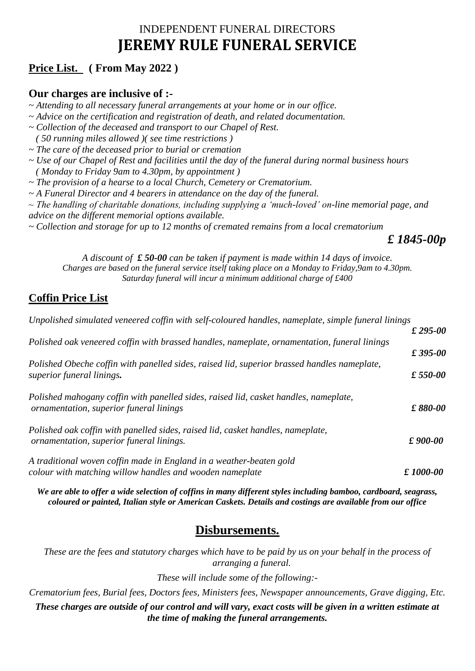# INDEPENDENT FUNERAL DIRECTORS **JEREMY RULE FUNERAL SERVICE**

# **Price List. ( From May 2022 )**

#### **Our charges are inclusive of :-**

*~ Attending to all necessary funeral arrangements at your home or in our office.* 

*~ Advice on the certification and registration of death, and related documentation.* 

- *~ Collection of the deceased and transport to our Chapel of Rest.*
- *( 50 running miles allowed )( see time restrictions )*
- *~ The care of the deceased prior to burial or cremation*
- *~ Use of our Chapel of Rest and facilities until the day of the funeral during normal business hours ( Monday to Friday 9am to 4.30pm, by appointment )*
- *~ The provision of a hearse to a local Church, Cemetery or Crematorium.*
- *~ A Funeral Director and 4 bearers in attendance on the day of the funeral.*
- *~ The handling of charitable donations, including supplying a 'much-loved' on-line memorial page, and advice on the different memorial options available.*
- *~ Collection and storage for up to 12 months of cremated remains from a local crematorium*

#### *£ 1845-00p*

*A discount of £ 50-00 can be taken if payment is made within 14 days of invoice. Charges are based on the funeral service itself taking place on a Monday to Friday,9am to 4.30pm. Saturday funeral will incur a minimum additional charge of £400*

## **Coffin Price List**

| Unpolished simulated veneered coffin with self-coloured handles, nameplate, simple funeral linings |                  |
|----------------------------------------------------------------------------------------------------|------------------|
|                                                                                                    | $£295-00$        |
| Polished oak veneered coffin with brassed handles, nameplate, ornamentation, funeral linings       |                  |
|                                                                                                    | $£395-00$        |
| Polished Obeche coffin with panelled sides, raised lid, superior brassed handles nameplate,        |                  |
| superior funeral linings.                                                                          | $£ 550-00$       |
| Polished mahogany coffin with panelled sides, raised lid, casket handles, nameplate,               |                  |
| ornamentation, superior funeral linings                                                            | £880-00          |
| Polished oak coffin with panelled sides, raised lid, casket handles, nameplate,                    |                  |
| ornamentation, superior funeral linings.                                                           | $\pounds$ 900-00 |
| A traditional woven coffin made in England in a weather-beaten gold                                |                  |
| colour with matching willow handles and wooden nameplate                                           | £1000-00         |

*We are able to offer a wide selection of coffins in many different styles including bamboo, cardboard, seagrass, coloured or painted, Italian style or American Caskets. Details and costings are available from our office*

## **Disbursements.**

*These are the fees and statutory charges which have to be paid by us on your behalf in the process of arranging a funeral.*

*These will include some of the following:-*

*Crematorium fees, Burial fees, Doctors fees, Ministers fees, Newspaper announcements, Grave digging, Etc. These charges are outside of our control and will vary, exact costs will be given in a written estimate at* 

*the time of making the funeral arrangements.*